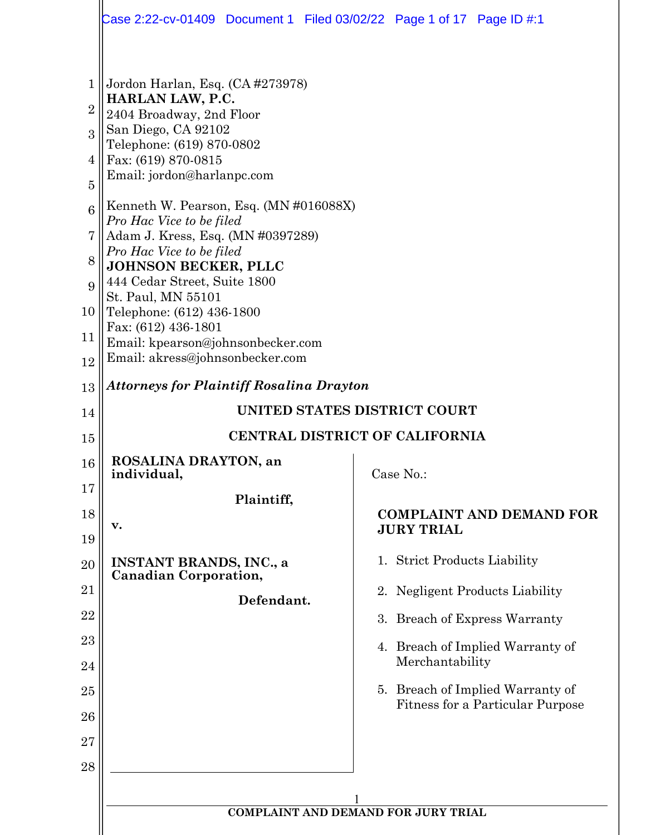|                                                                                 | Case 2:22-cv-01409  Document 1  Filed 03/02/22  Page 1 of 17  Page ID #:1                                                                                                                                                                                                                                                                                                                                                                                                                                      |                                                      |  |  |
|---------------------------------------------------------------------------------|----------------------------------------------------------------------------------------------------------------------------------------------------------------------------------------------------------------------------------------------------------------------------------------------------------------------------------------------------------------------------------------------------------------------------------------------------------------------------------------------------------------|------------------------------------------------------|--|--|
| 1<br>$\overline{2}$<br>3<br>4<br>$\overline{5}$<br>6<br>7<br>8<br>9<br>10<br>11 | Jordon Harlan, Esq. (CA #273978)<br>HARLAN LAW, P.C.<br>2404 Broadway, 2nd Floor<br>San Diego, CA 92102<br>Telephone: (619) 870-0802<br>Fax: (619) 870-0815<br>Email: jordon@harlanpc.com<br>Kenneth W. Pearson, Esq. (MN #016088X)<br>Pro Hac Vice to be filed<br>Adam J. Kress, Esq. (MN #0397289)<br>Pro Hac Vice to be filed<br><b>JOHNSON BECKER, PLLC</b><br>444 Cedar Street, Suite 1800<br>St. Paul, MN 55101<br>Telephone: (612) 436-1800<br>Fax: (612) 436-1801<br>Email: kpearson@johnsonbecker.com |                                                      |  |  |
| 12                                                                              | Email: akress@johnsonbecker.com                                                                                                                                                                                                                                                                                                                                                                                                                                                                                |                                                      |  |  |
| 13                                                                              | Attorneys for Plaintiff Rosalina Drayton                                                                                                                                                                                                                                                                                                                                                                                                                                                                       |                                                      |  |  |
| 14                                                                              | UNITED STATES DISTRICT COURT                                                                                                                                                                                                                                                                                                                                                                                                                                                                                   |                                                      |  |  |
| 15                                                                              | CENTRAL DISTRICT OF CALIFORNIA                                                                                                                                                                                                                                                                                                                                                                                                                                                                                 |                                                      |  |  |
| 16                                                                              | ROSALINA DRAYTON, an<br>individual,                                                                                                                                                                                                                                                                                                                                                                                                                                                                            | Case No.:                                            |  |  |
| 17<br>18<br>19                                                                  | Plaintiff,<br>v.                                                                                                                                                                                                                                                                                                                                                                                                                                                                                               | <b>COMPLAINT AND DEMAND FOR</b><br><b>JURY TRIAL</b> |  |  |
| 20                                                                              | <b>INSTANT BRANDS, INC., a</b>                                                                                                                                                                                                                                                                                                                                                                                                                                                                                 | 1. Strict Products Liability                         |  |  |
| 21                                                                              | <b>Canadian Corporation,</b>                                                                                                                                                                                                                                                                                                                                                                                                                                                                                   | 2. Negligent Products Liability                      |  |  |
| 22                                                                              | Defendant.                                                                                                                                                                                                                                                                                                                                                                                                                                                                                                     | 3. Breach of Express Warranty                        |  |  |
| 23                                                                              |                                                                                                                                                                                                                                                                                                                                                                                                                                                                                                                | 4. Breach of Implied Warranty of                     |  |  |
| 24                                                                              |                                                                                                                                                                                                                                                                                                                                                                                                                                                                                                                | Merchantability                                      |  |  |
| 25                                                                              |                                                                                                                                                                                                                                                                                                                                                                                                                                                                                                                | 5. Breach of Implied Warranty of                     |  |  |
| 26                                                                              |                                                                                                                                                                                                                                                                                                                                                                                                                                                                                                                | Fitness for a Particular Purpose                     |  |  |
| 27                                                                              |                                                                                                                                                                                                                                                                                                                                                                                                                                                                                                                |                                                      |  |  |
| 28                                                                              |                                                                                                                                                                                                                                                                                                                                                                                                                                                                                                                |                                                      |  |  |
|                                                                                 |                                                                                                                                                                                                                                                                                                                                                                                                                                                                                                                |                                                      |  |  |
|                                                                                 |                                                                                                                                                                                                                                                                                                                                                                                                                                                                                                                | <b>COMPLAINT AND DEMAND FOR JURY TRIAL</b>           |  |  |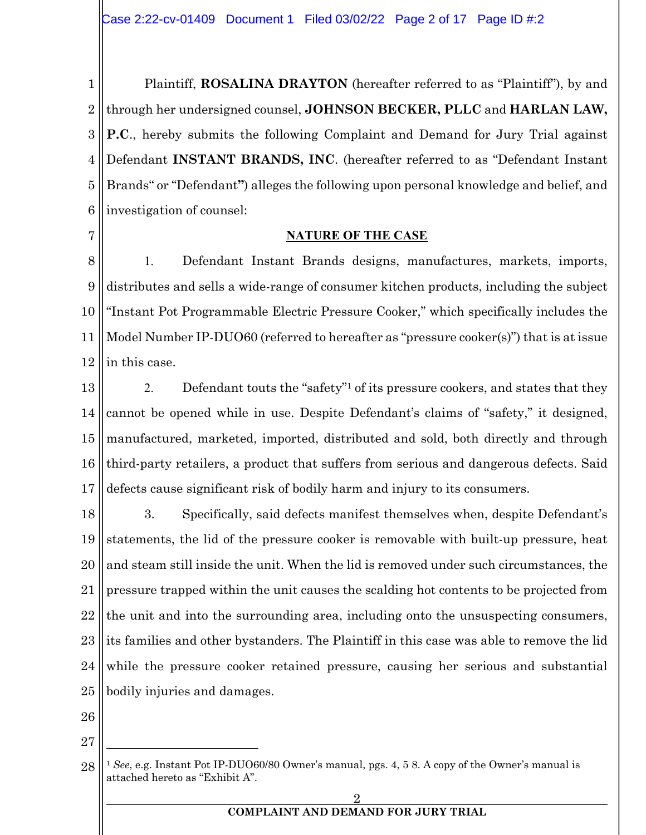1 2 3 4 5 6 Plaintiff, **ROSALINA DRAYTON** (hereafter referred to as "Plaintiff"), by and through her undersigned counsel, **JOHNSON BECKER, PLLC** and **HARLAN LAW, P.C**., hereby submits the following Complaint and Demand for Jury Trial against Defendant **INSTANT BRANDS, INC**. (hereafter referred to as "Defendant Instant Brands" or "Defendant**"**) alleges the following upon personal knowledge and belief, and investigation of counsel:

7

### **NATURE OF THE CASE**

8 9 10 11 12 1. Defendant Instant Brands designs, manufactures, markets, imports, distributes and sells a wide-range of consumer kitchen products, including the subject "Instant Pot Programmable Electric Pressure Cooker," which specifically includes the Model Number IP-DUO60 (referred to hereafter as "pressure cooker(s)") that is at issue in this case.

13 14 15 16 17 2. Defendant touts the "safety"1 of its pressure cookers, and states that they cannot be opened while in use. Despite Defendant's claims of "safety," it designed, manufactured, marketed, imported, distributed and sold, both directly and through third-party retailers, a product that suffers from serious and dangerous defects. Said defects cause significant risk of bodily harm and injury to its consumers.

18 19 20 21 22 23 24 25 3. Specifically, said defects manifest themselves when, despite Defendant's statements, the lid of the pressure cooker is removable with built-up pressure, heat and steam still inside the unit. When the lid is removed under such circumstances, the pressure trapped within the unit causes the scalding hot contents to be projected from the unit and into the surrounding area, including onto the unsuspecting consumers, its families and other bystanders. The Plaintiff in this case was able to remove the lid while the pressure cooker retained pressure, causing her serious and substantial bodily injuries and damages.

- 26
- 27

<sup>28</sup> <sup>1</sup> *See*, e.g. Instant Pot IP-DUO60/80 Owner's manual, pgs. 4, 5 8. A copy of the Owner's manual is attached hereto as "Exhibit A".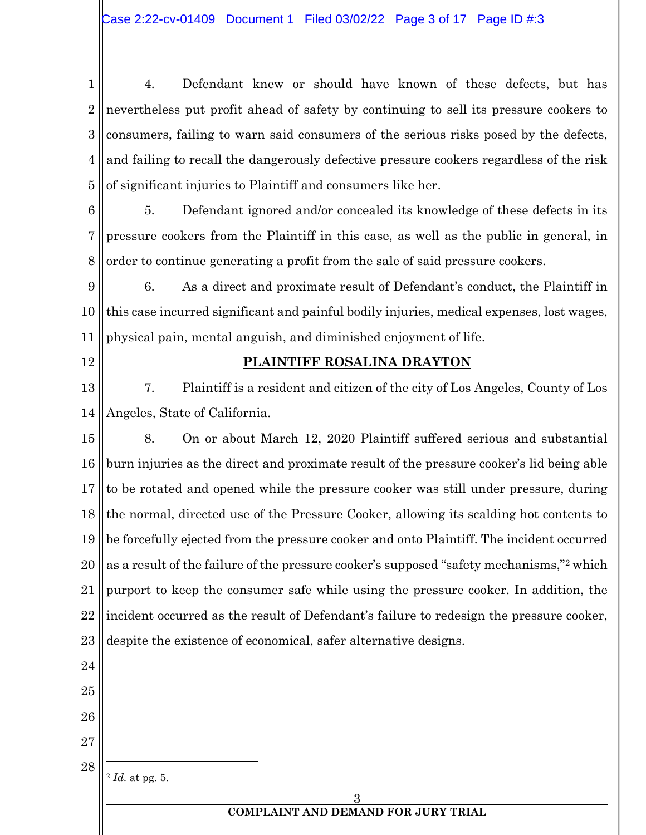1 2 3 4 5 4. Defendant knew or should have known of these defects, but has nevertheless put profit ahead of safety by continuing to sell its pressure cookers to consumers, failing to warn said consumers of the serious risks posed by the defects, and failing to recall the dangerously defective pressure cookers regardless of the risk of significant injuries to Plaintiff and consumers like her.

6 7 8 5. Defendant ignored and/or concealed its knowledge of these defects in its pressure cookers from the Plaintiff in this case, as well as the public in general, in order to continue generating a profit from the sale of said pressure cookers.

9 10 11 6. As a direct and proximate result of Defendant's conduct, the Plaintiff in this case incurred significant and painful bodily injuries, medical expenses, lost wages, physical pain, mental anguish, and diminished enjoyment of life.

12

## **PLAINTIFF ROSALINA DRAYTON**

13 14 7. Plaintiff is a resident and citizen of the city of Los Angeles, County of Los Angeles, State of California.

15 16 17 18 19 20 21 22 23 24 8. On or about March 12, 2020 Plaintiff suffered serious and substantial burn injuries as the direct and proximate result of the pressure cooker's lid being able to be rotated and opened while the pressure cooker was still under pressure, during the normal, directed use of the Pressure Cooker, allowing its scalding hot contents to be forcefully ejected from the pressure cooker and onto Plaintiff. The incident occurred as a result of the failure of the pressure cooker's supposed "safety mechanisms,"2 which purport to keep the consumer safe while using the pressure cooker. In addition, the incident occurred as the result of Defendant's failure to redesign the pressure cooker, despite the existence of economical, safer alternative designs.

25

26

27

28

<sup>2</sup> *Id.* at pg. 5.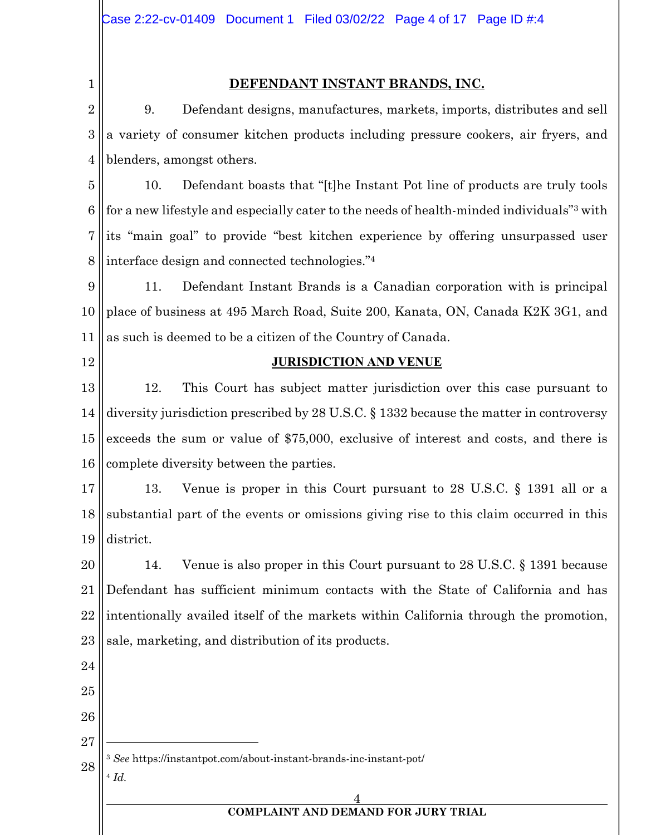1

### **DEFENDANT INSTANT BRANDS, INC.**

2 3 4 9. Defendant designs, manufactures, markets, imports, distributes and sell a variety of consumer kitchen products including pressure cookers, air fryers, and blenders, amongst others.

5 6 7 8 10. Defendant boasts that "[t]he Instant Pot line of products are truly tools for a new lifestyle and especially cater to the needs of health-minded individuals"3 with its "main goal" to provide "best kitchen experience by offering unsurpassed user interface design and connected technologies."4

9 10 11 11. Defendant Instant Brands is a Canadian corporation with is principal place of business at 495 March Road, Suite 200, Kanata, ON, Canada K2K 3G1, and as such is deemed to be a citizen of the Country of Canada.

12

### **JURISDICTION AND VENUE**

13 14 15 16 12. This Court has subject matter jurisdiction over this case pursuant to diversity jurisdiction prescribed by 28 U.S.C. § 1332 because the matter in controversy exceeds the sum or value of \$75,000, exclusive of interest and costs, and there is complete diversity between the parties.

17 18 19 13. Venue is proper in this Court pursuant to 28 U.S.C. § 1391 all or a substantial part of the events or omissions giving rise to this claim occurred in this district.

20 21 22 23 14. Venue is also proper in this Court pursuant to 28 U.S.C. § 1391 because Defendant has sufficient minimum contacts with the State of California and has intentionally availed itself of the markets within California through the promotion, sale, marketing, and distribution of its products.

- 24 25 26 27
- 28 <sup>3</sup> *See* https://instantpot.com/about-instant-brands-inc-instant-pot/
- <sup>4</sup> *Id.*

### 4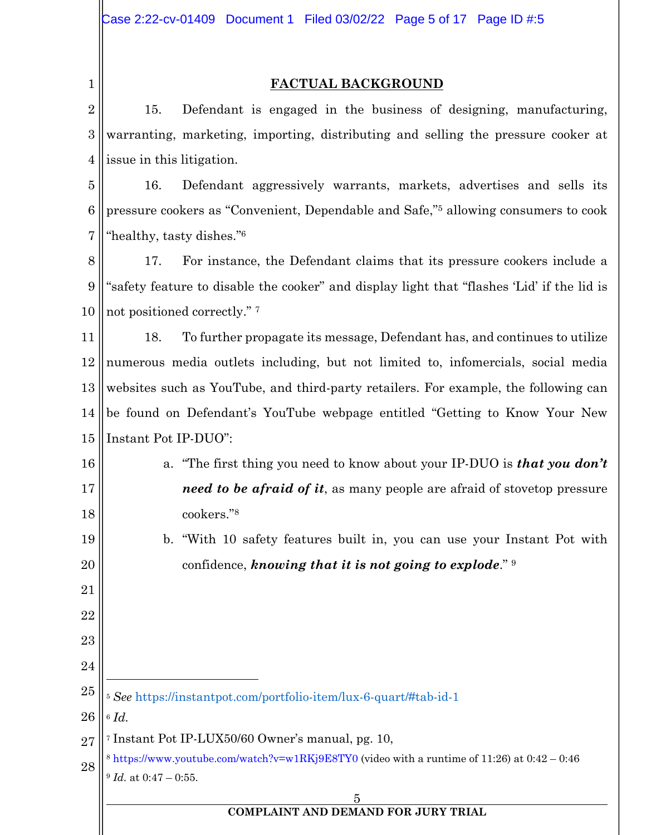## **FACTUAL BACKGROUND**

 15. Defendant is engaged in the business of designing, manufacturing, warranting, marketing, importing, distributing and selling the pressure cooker at issue in this litigation.

 16. Defendant aggressively warrants, markets, advertises and sells its pressure cookers as "Convenient, Dependable and Safe,"5 allowing consumers to cook "healthy, tasty dishes."6

 17. For instance, the Defendant claims that its pressure cookers include a "safety feature to disable the cooker" and display light that "flashes 'Lid' if the lid is not positioned correctly." 7

 18. To further propagate its message, Defendant has, and continues to utilize numerous media outlets including, but not limited to, infomercials, social media websites such as YouTube, and third-party retailers. For example, the following can be found on Defendant's YouTube webpage entitled "Getting to Know Your New Instant Pot IP-DUO":

 a. "The first thing you need to know about your IP-DUO is *that you don't need to be afraid of it*, as many people are afraid of stovetop pressure cookers."8

b. "With 10 safety features built in, you can use your Instant Pot with confidence, *knowing that it is not going to explode*." 9

 *See* https://instantpot.com/portfolio-item/lux-6-quart/#tab-id-1 *Id.*  Instant Pot IP-LUX50/60 Owner's manual, pg. 10, https://www.youtube.com/watch?v=w1RKj9E8TY0 (video with a runtime of 11:26) at 0:42 – 0:46 *Id.* at 0:47 – 0:55.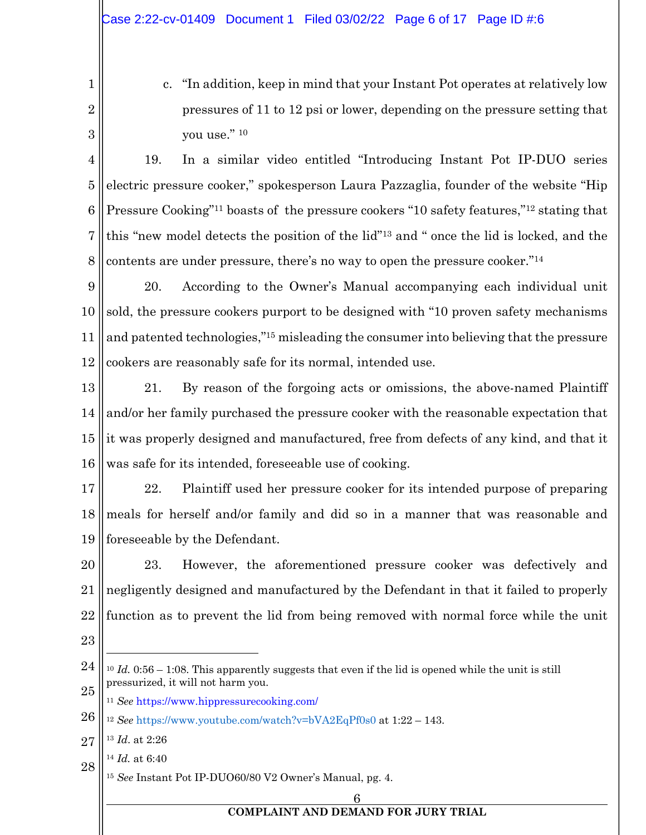1 2 c. "In addition, keep in mind that your Instant Pot operates at relatively low pressures of 11 to 12 psi or lower, depending on the pressure setting that you use." 10

3

4 5 6 7 8 19. In a similar video entitled "Introducing Instant Pot IP-DUO series electric pressure cooker," spokesperson Laura Pazzaglia, founder of the website "Hip Pressure Cooking"<sup>11</sup> boasts of the pressure cookers "10 safety features,"<sup>12</sup> stating that this "new model detects the position of the lid"13 and " once the lid is locked, and the contents are under pressure, there's no way to open the pressure cooker."14

9 10 11 12 20. According to the Owner's Manual accompanying each individual unit sold, the pressure cookers purport to be designed with "10 proven safety mechanisms and patented technologies,"15 misleading the consumer into believing that the pressure cookers are reasonably safe for its normal, intended use.

13 14 15 16 21. By reason of the forgoing acts or omissions, the above-named Plaintiff and/or her family purchased the pressure cooker with the reasonable expectation that it was properly designed and manufactured, free from defects of any kind, and that it was safe for its intended, foreseeable use of cooking.

17 18 19 22. Plaintiff used her pressure cooker for its intended purpose of preparing meals for herself and/or family and did so in a manner that was reasonable and foreseeable by the Defendant.

20 21 22 23. However, the aforementioned pressure cooker was defectively and negligently designed and manufactured by the Defendant in that it failed to properly function as to prevent the lid from being removed with normal force while the unit

23

<sup>11</sup> *See* https://www.hippressurecooking.com/

27 <sup>13</sup> *Id*. at 2:26

<sup>24</sup> 25 <sup>10</sup> *Id.* 0:56 – 1:08. This apparently suggests that even if the lid is opened while the unit is still pressurized, it will not harm you.

<sup>26</sup> <sup>12</sup> *See* https://www.youtube.com/watch?v=bVA2EqPf0s0 at 1:22 – 143.

<sup>28</sup> <sup>14</sup> *Id.* at 6:40

<sup>15</sup> *See* Instant Pot IP-DUO60/80 V2 Owner's Manual, pg. 4.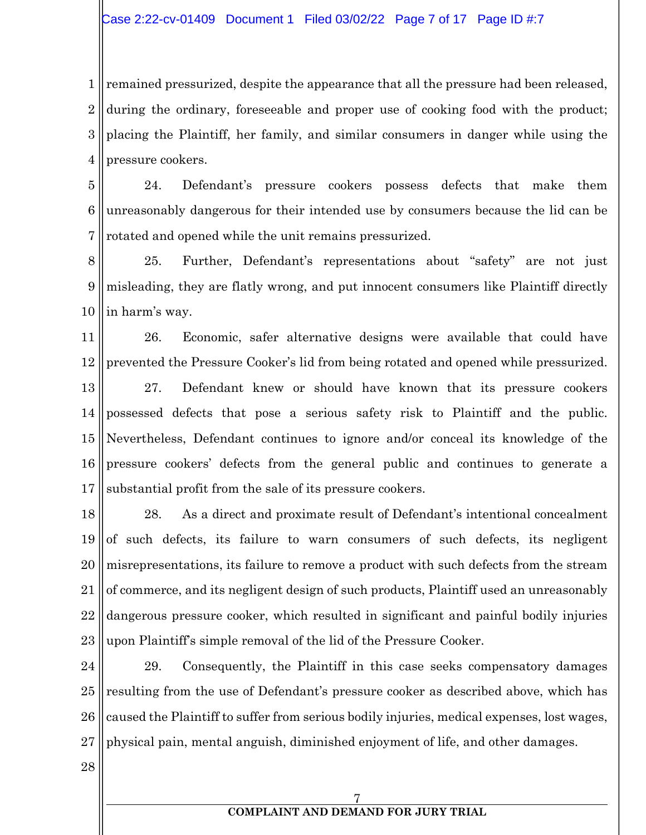1 2 3 4 remained pressurized, despite the appearance that all the pressure had been released, during the ordinary, foreseeable and proper use of cooking food with the product; placing the Plaintiff, her family, and similar consumers in danger while using the pressure cookers.

5 6 7 24. Defendant's pressure cookers possess defects that make them unreasonably dangerous for their intended use by consumers because the lid can be rotated and opened while the unit remains pressurized.

8 9 10 25. Further, Defendant's representations about "safety" are not just misleading, they are flatly wrong, and put innocent consumers like Plaintiff directly in harm's way.

11 12 26. Economic, safer alternative designs were available that could have prevented the Pressure Cooker's lid from being rotated and opened while pressurized.

13 14 15 16 17 27. Defendant knew or should have known that its pressure cookers possessed defects that pose a serious safety risk to Plaintiff and the public. Nevertheless, Defendant continues to ignore and/or conceal its knowledge of the pressure cookers' defects from the general public and continues to generate a substantial profit from the sale of its pressure cookers.

18 19 20 21 22 23 28. As a direct and proximate result of Defendant's intentional concealment of such defects, its failure to warn consumers of such defects, its negligent misrepresentations, its failure to remove a product with such defects from the stream of commerce, and its negligent design of such products, Plaintiff used an unreasonably dangerous pressure cooker, which resulted in significant and painful bodily injuries upon Plaintiff's simple removal of the lid of the Pressure Cooker.

24 25 26 27 29. Consequently, the Plaintiff in this case seeks compensatory damages resulting from the use of Defendant's pressure cooker as described above, which has caused the Plaintiff to suffer from serious bodily injuries, medical expenses, lost wages, physical pain, mental anguish, diminished enjoyment of life, and other damages.

28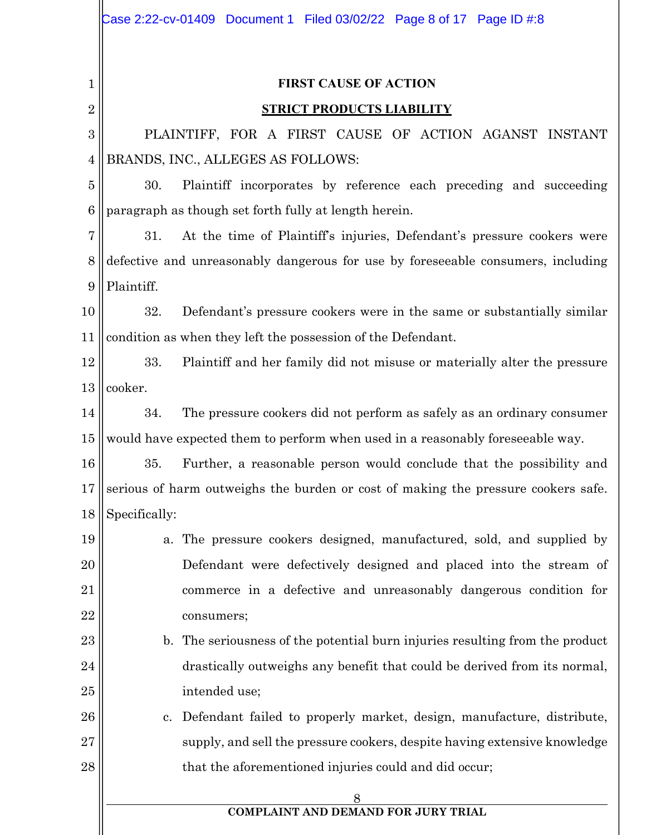|                | Case 2:22-cv-01409 Document 1 Filed 03/02/22 Page 8 of 17 Page ID #:8             |  |  |
|----------------|-----------------------------------------------------------------------------------|--|--|
|                |                                                                                   |  |  |
| 1              | <b>FIRST CAUSE OF ACTION</b>                                                      |  |  |
| $\overline{2}$ | <b>STRICT PRODUCTS LIABILITY</b>                                                  |  |  |
| 3              | PLAINTIFF, FOR A FIRST CAUSE OF ACTION AGANST INSTANT                             |  |  |
| 4              | BRANDS, INC., ALLEGES AS FOLLOWS:                                                 |  |  |
| 5              | Plaintiff incorporates by reference each preceding and succeeding<br>30.          |  |  |
| 6              | paragraph as though set forth fully at length herein.                             |  |  |
| 7              | At the time of Plaintiff's injuries, Defendant's pressure cookers were<br>31.     |  |  |
| 8              | defective and unreasonably dangerous for use by foreseeable consumers, including  |  |  |
| 9              | Plaintiff.                                                                        |  |  |
| 10             | Defendant's pressure cookers were in the same or substantially similar<br>32.     |  |  |
| 11             | condition as when they left the possession of the Defendant.                      |  |  |
| 12             | 33.<br>Plaintiff and her family did not misuse or materially alter the pressure   |  |  |
| 13             | cooker.                                                                           |  |  |
| 14             | The pressure cookers did not perform as safely as an ordinary consumer<br>34.     |  |  |
| 15             | would have expected them to perform when used in a reasonably foreseeable way.    |  |  |
| 16             | Further, a reasonable person would conclude that the possibility and<br>35.       |  |  |
| 17             | serious of harm outweighs the burden or cost of making the pressure cookers safe. |  |  |
| 18             | Specifically:                                                                     |  |  |
| 19             | a. The pressure cookers designed, manufactured, sold, and supplied by             |  |  |
| 20             | Defendant were defectively designed and placed into the stream of                 |  |  |
| 21             | commerce in a defective and unreasonably dangerous condition for                  |  |  |
| 22             | consumers;                                                                        |  |  |
| 23             | b. The seriousness of the potential burn injuries resulting from the product      |  |  |
| 24             | drastically outweighs any benefit that could be derived from its normal,          |  |  |
| 25             | intended use;                                                                     |  |  |
| 26             | c. Defendant failed to properly market, design, manufacture, distribute,          |  |  |
| 27             | supply, and sell the pressure cookers, despite having extensive knowledge         |  |  |
| 28             | that the aforementioned injuries could and did occur;                             |  |  |
|                | 8                                                                                 |  |  |
|                | <b>COMPLAINT AND DEMAND FOR JURY TRIAL</b>                                        |  |  |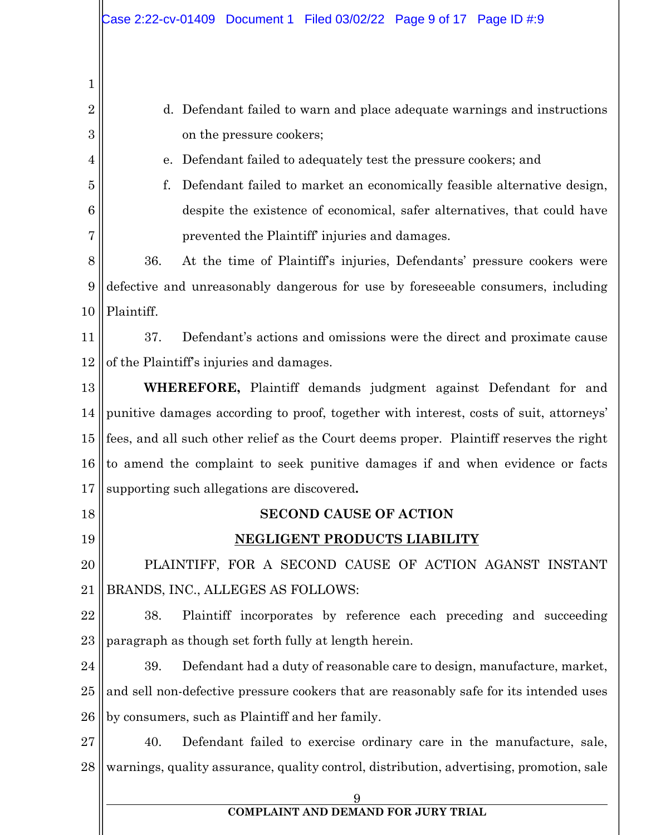| $\mathbf{1}$   |                                                                                          |  |  |  |
|----------------|------------------------------------------------------------------------------------------|--|--|--|
| $\overline{2}$ | d. Defendant failed to warn and place adequate warnings and instructions                 |  |  |  |
| 3              | on the pressure cookers;                                                                 |  |  |  |
| 4              | Defendant failed to adequately test the pressure cookers; and<br>e.                      |  |  |  |
| 5              | Defendant failed to market an economically feasible alternative design,<br>f.            |  |  |  |
| 6              | despite the existence of economical, safer alternatives, that could have                 |  |  |  |
| 7              | prevented the Plaintiff' injuries and damages.                                           |  |  |  |
| 8              | 36.<br>At the time of Plaintiff's injuries, Defendants' pressure cookers were            |  |  |  |
| 9              | defective and unreasonably dangerous for use by foreseeable consumers, including         |  |  |  |
| 10             | Plaintiff.                                                                               |  |  |  |
| 11             | 37.<br>Defendant's actions and omissions were the direct and proximate cause             |  |  |  |
| 12             | of the Plaintiff's injuries and damages.                                                 |  |  |  |
| 13             | <b>WHEREFORE,</b> Plaintiff demands judgment against Defendant for and                   |  |  |  |
| 14             | punitive damages according to proof, together with interest, costs of suit, attorneys'   |  |  |  |
| 15             | fees, and all such other relief as the Court deems proper. Plaintiff reserves the right  |  |  |  |
| 16             | to amend the complaint to seek punitive damages if and when evidence or facts            |  |  |  |
| 17             | supporting such allegations are discovered.                                              |  |  |  |
| 18             | <b>SECOND CAUSE OF ACTION</b>                                                            |  |  |  |
| 19             | NEGLIGENT PRODUCTS LIABILITY                                                             |  |  |  |
| 20             | PLAINTIFF, FOR A SECOND CAUSE OF ACTION AGANST INSTANT                                   |  |  |  |
| 21             | BRANDS, INC., ALLEGES AS FOLLOWS:                                                        |  |  |  |
| 22             | Plaintiff incorporates by reference each preceding and succeeding<br>38.                 |  |  |  |
| 23             | paragraph as though set forth fully at length herein.                                    |  |  |  |
| 24             | Defendant had a duty of reasonable care to design, manufacture, market,<br>39.           |  |  |  |
| 25             | and sell non-defective pressure cookers that are reasonably safe for its intended uses   |  |  |  |
| 26             | by consumers, such as Plaintiff and her family.                                          |  |  |  |
| 27             | Defendant failed to exercise ordinary care in the manufacture, sale,<br>40.              |  |  |  |
| 28             | warnings, quality assurance, quality control, distribution, advertising, promotion, sale |  |  |  |
|                |                                                                                          |  |  |  |
|                | COMPLAINT AND DEMAND FOR JURY TRIAL                                                      |  |  |  |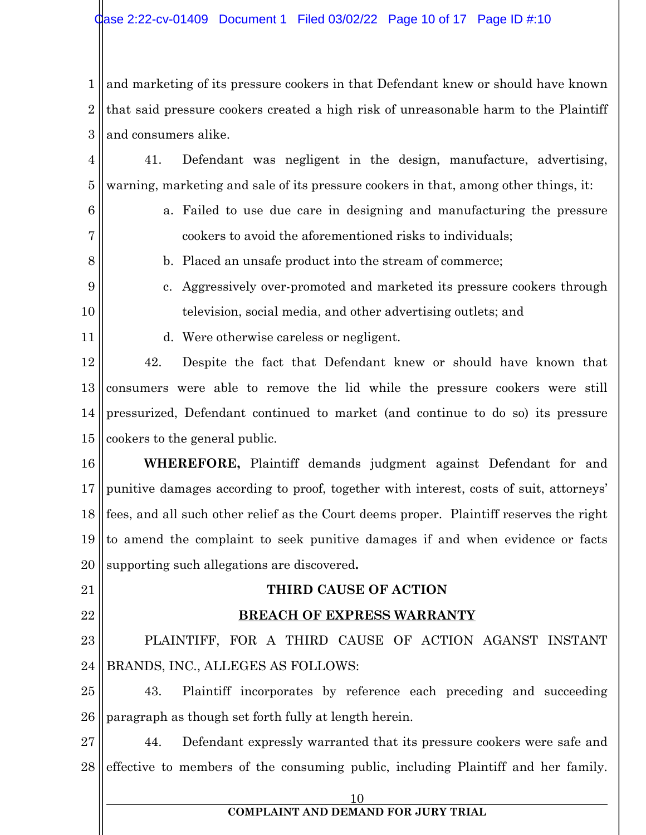1 2 3 and marketing of its pressure cookers in that Defendant knew or should have known that said pressure cookers created a high risk of unreasonable harm to the Plaintiff and consumers alike.

4 5 41. Defendant was negligent in the design, manufacture, advertising, warning, marketing and sale of its pressure cookers in that, among other things, it:

6

7

8

a. Failed to use due care in designing and manufacturing the pressure cookers to avoid the aforementioned risks to individuals;

- b. Placed an unsafe product into the stream of commerce;
- 9 10 c. Aggressively over-promoted and marketed its pressure cookers through television, social media, and other advertising outlets; and
- 11
- d. Were otherwise careless or negligent.

12 13 14 15 42. Despite the fact that Defendant knew or should have known that consumers were able to remove the lid while the pressure cookers were still pressurized, Defendant continued to market (and continue to do so) its pressure cookers to the general public.

16 17 18 19 20 **WHEREFORE,** Plaintiff demands judgment against Defendant for and punitive damages according to proof, together with interest, costs of suit, attorneys' fees, and all such other relief as the Court deems proper. Plaintiff reserves the right to amend the complaint to seek punitive damages if and when evidence or facts supporting such allegations are discovered**.**

21

22

# **THIRD CAUSE OF ACTION**

# **BREACH OF EXPRESS WARRANTY**

23 24 PLAINTIFF, FOR A THIRD CAUSE OF ACTION AGANST INSTANT BRANDS, INC., ALLEGES AS FOLLOWS:

25 26 43. Plaintiff incorporates by reference each preceding and succeeding paragraph as though set forth fully at length herein.

27 28 44. Defendant expressly warranted that its pressure cookers were safe and effective to members of the consuming public, including Plaintiff and her family.

10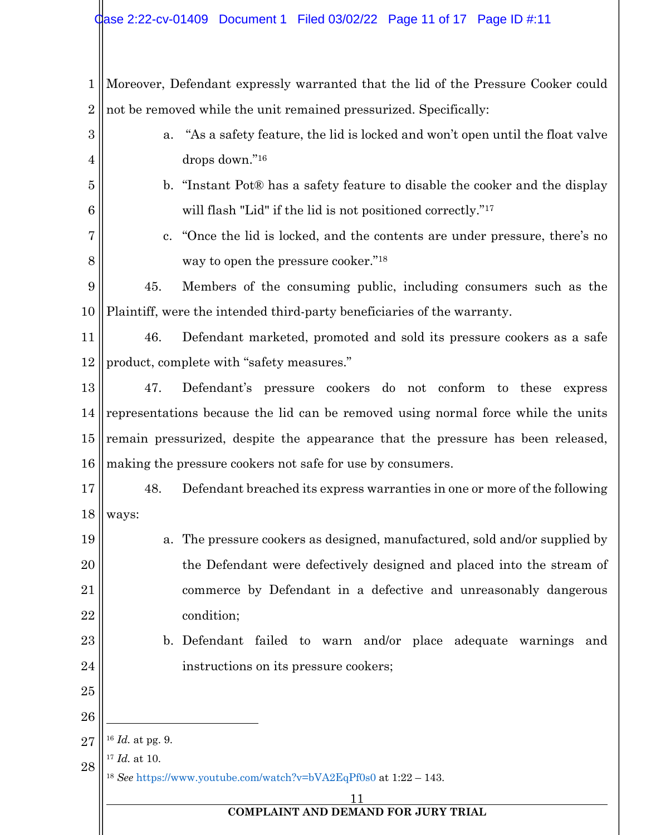| $\mathbf{1}$    | Moreover, Defendant expressly warranted that the lid of the Pressure Cooker could                      |                                                                              |  |  |
|-----------------|--------------------------------------------------------------------------------------------------------|------------------------------------------------------------------------------|--|--|
| $\overline{2}$  |                                                                                                        | not be removed while the unit remained pressurized. Specifically:            |  |  |
| 3               | a.                                                                                                     | "As a safety feature, the lid is locked and won't open until the float valve |  |  |
| 4               |                                                                                                        | drops down."16                                                               |  |  |
| 5               |                                                                                                        | b. "Instant Pot® has a safety feature to disable the cooker and the display  |  |  |
| $6\phantom{1}6$ |                                                                                                        | will flash "Lid" if the lid is not positioned correctly." <sup>17</sup>      |  |  |
| 7               | $c_{\cdot}$                                                                                            | "Once the lid is locked, and the contents are under pressure, there's no     |  |  |
| 8               |                                                                                                        | way to open the pressure cooker." <sup>18</sup>                              |  |  |
| 9               | 45.                                                                                                    | Members of the consuming public, including consumers such as the             |  |  |
| 10              |                                                                                                        | Plaintiff, were the intended third-party beneficiaries of the warranty.      |  |  |
| 11              | 46.                                                                                                    | Defendant marketed, promoted and sold its pressure cookers as a safe         |  |  |
| 12              |                                                                                                        | product, complete with "safety measures."                                    |  |  |
| 13              | 47.                                                                                                    | Defendant's pressure cookers do not conform to these express                 |  |  |
| 14              | representations because the lid can be removed using normal force while the units                      |                                                                              |  |  |
| $15\,$          | remain pressurized, despite the appearance that the pressure has been released,                        |                                                                              |  |  |
| 16              | making the pressure cookers not safe for use by consumers.                                             |                                                                              |  |  |
| 17              | 48.                                                                                                    | Defendant breached its express warranties in one or more of the following    |  |  |
|                 | $18$   ways:                                                                                           |                                                                              |  |  |
| 19              | a.                                                                                                     | The pressure cookers as designed, manufactured, sold and/or supplied by      |  |  |
| 20              |                                                                                                        | the Defendant were defectively designed and placed into the stream of        |  |  |
| 21              |                                                                                                        | commerce by Defendant in a defective and unreasonably dangerous              |  |  |
| 22              |                                                                                                        | condition;                                                                   |  |  |
| 23              |                                                                                                        | b. Defendant failed to warn and/or place adequate warnings and               |  |  |
| 24              |                                                                                                        | instructions on its pressure cookers;                                        |  |  |
| 25              |                                                                                                        |                                                                              |  |  |
| 26              |                                                                                                        |                                                                              |  |  |
| 27              | $16$ <i>Id.</i> at pg. 9.                                                                              |                                                                              |  |  |
| 28              | $17$ <i>Id.</i> at 10.<br><sup>18</sup> See https://www.youtube.com/watch?v=bVA2EqPf0s0 at 1:22 - 143. |                                                                              |  |  |
|                 |                                                                                                        | 11                                                                           |  |  |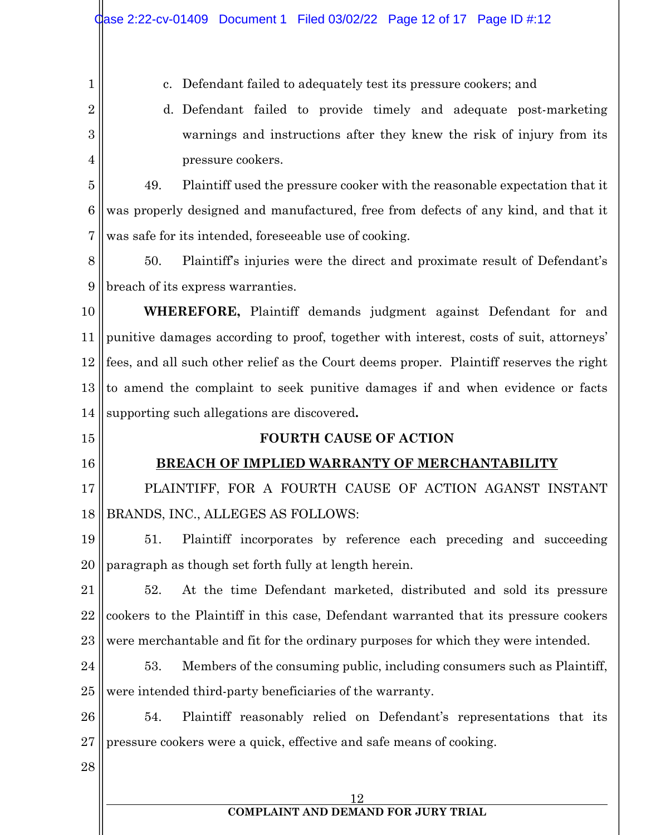|                | Case 2:22-cv-01409 Document 1 Filed 03/02/22 Page 12 of 17 Page ID #:12                 |  |
|----------------|-----------------------------------------------------------------------------------------|--|
| 1              | Defendant failed to adequately test its pressure cookers; and<br>c.                     |  |
| $\overline{2}$ | Defendant failed to provide timely and adequate post-marketing<br>d.                    |  |
| 3              | warnings and instructions after they knew the risk of injury from its                   |  |
| 4              | pressure cookers.                                                                       |  |
| 5              | 49.<br>Plaintiff used the pressure cooker with the reasonable expectation that it       |  |
| 6              | was properly designed and manufactured, free from defects of any kind, and that it      |  |
| 7              | was safe for its intended, foreseeable use of cooking.                                  |  |
| 8              | 50.<br>Plaintiff's injuries were the direct and proximate result of Defendant's         |  |
| 9              | breach of its express warranties.                                                       |  |
| 10             | <b>WHEREFORE,</b> Plaintiff demands judgment against Defendant for and                  |  |
| 11             | punitive damages according to proof, together with interest, costs of suit, attorneys'  |  |
| 12             | fees, and all such other relief as the Court deems proper. Plaintiff reserves the right |  |
| 13             | to amend the complaint to seek punitive damages if and when evidence or facts           |  |
| 14             | supporting such allegations are discovered.                                             |  |
| 15             | <b>FOURTH CAUSE OF ACTION</b>                                                           |  |
| 16             | <b>BREACH OF IMPLIED WARRANTY OF MERCHANTABILITY</b>                                    |  |
| 17             | PLAINTIFF, FOR A FOURTH CAUSE OF ACTION AGANST INSTANT                                  |  |
|                |                                                                                         |  |
| 18             | BRANDS, INC., ALLEGES AS FOLLOWS:                                                       |  |
| 19             | Plaintiff incorporates by reference each preceding and succeeding<br>51.                |  |
| 20             | paragraph as though set forth fully at length herein.                                   |  |
| 21             | At the time Defendant marketed, distributed and sold its pressure<br>52.                |  |
| 22             | cookers to the Plaintiff in this case, Defendant warranted that its pressure cookers    |  |
| 23             | were merchantable and fit for the ordinary purposes for which they were intended.       |  |
| 24             | 53.<br>Members of the consuming public, including consumers such as Plaintiff,          |  |
| 25             | were intended third-party beneficiaries of the warranty.                                |  |
| 26             | Plaintiff reasonably relied on Defendant's representations that its<br>54.              |  |
| 27             | pressure cookers were a quick, effective and safe means of cooking.                     |  |
| 28             |                                                                                         |  |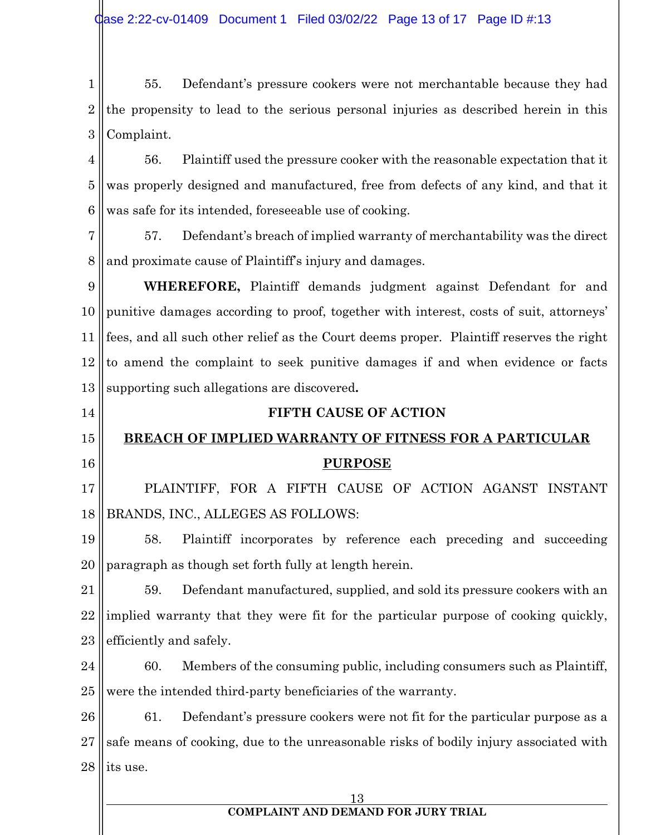1 2 3 55. Defendant's pressure cookers were not merchantable because they had the propensity to lead to the serious personal injuries as described herein in this Complaint.

4 5 6 56. Plaintiff used the pressure cooker with the reasonable expectation that it was properly designed and manufactured, free from defects of any kind, and that it was safe for its intended, foreseeable use of cooking.

7 8 57. Defendant's breach of implied warranty of merchantability was the direct and proximate cause of Plaintiff's injury and damages.

9 10 11 12 13 **WHEREFORE,** Plaintiff demands judgment against Defendant for and punitive damages according to proof, together with interest, costs of suit, attorneys' fees, and all such other relief as the Court deems proper. Plaintiff reserves the right to amend the complaint to seek punitive damages if and when evidence or facts supporting such allegations are discovered**.**

#### 15 16 **BREACH OF IMPLIED WARRANTY OF FITNESS FOR A PARTICULAR PURPOSE**

**FIFTH CAUSE OF ACTION**

14

17 18 PLAINTIFF, FOR A FIFTH CAUSE OF ACTION AGANST INSTANT BRANDS, INC., ALLEGES AS FOLLOWS:

19 20 58. Plaintiff incorporates by reference each preceding and succeeding paragraph as though set forth fully at length herein.

21 22 23 59. Defendant manufactured, supplied, and sold its pressure cookers with an implied warranty that they were fit for the particular purpose of cooking quickly, efficiently and safely.

24 25 60. Members of the consuming public, including consumers such as Plaintiff, were the intended third-party beneficiaries of the warranty.

26 27 28 61. Defendant's pressure cookers were not fit for the particular purpose as a safe means of cooking, due to the unreasonable risks of bodily injury associated with its use.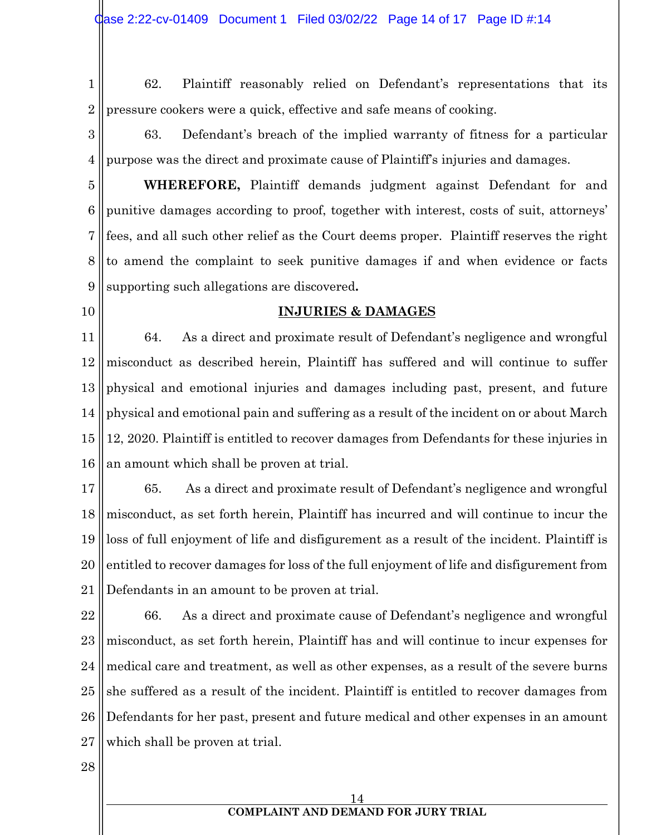1 2 62. Plaintiff reasonably relied on Defendant's representations that its pressure cookers were a quick, effective and safe means of cooking.

3 4 63. Defendant's breach of the implied warranty of fitness for a particular purpose was the direct and proximate cause of Plaintiff's injuries and damages.

5 6 7 8 9 **WHEREFORE,** Plaintiff demands judgment against Defendant for and punitive damages according to proof, together with interest, costs of suit, attorneys' fees, and all such other relief as the Court deems proper. Plaintiff reserves the right to amend the complaint to seek punitive damages if and when evidence or facts supporting such allegations are discovered**.**

10

#### **INJURIES & DAMAGES**

11 12 13 14 15 16 64. As a direct and proximate result of Defendant's negligence and wrongful misconduct as described herein, Plaintiff has suffered and will continue to suffer physical and emotional injuries and damages including past, present, and future physical and emotional pain and suffering as a result of the incident on or about March 12, 2020. Plaintiff is entitled to recover damages from Defendants for these injuries in an amount which shall be proven at trial.

17 18 19 20 21 65. As a direct and proximate result of Defendant's negligence and wrongful misconduct, as set forth herein, Plaintiff has incurred and will continue to incur the loss of full enjoyment of life and disfigurement as a result of the incident. Plaintiff is entitled to recover damages for loss of the full enjoyment of life and disfigurement from Defendants in an amount to be proven at trial.

22 23 24 25 26 27 66. As a direct and proximate cause of Defendant's negligence and wrongful misconduct, as set forth herein, Plaintiff has and will continue to incur expenses for medical care and treatment, as well as other expenses, as a result of the severe burns she suffered as a result of the incident. Plaintiff is entitled to recover damages from Defendants for her past, present and future medical and other expenses in an amount which shall be proven at trial.

28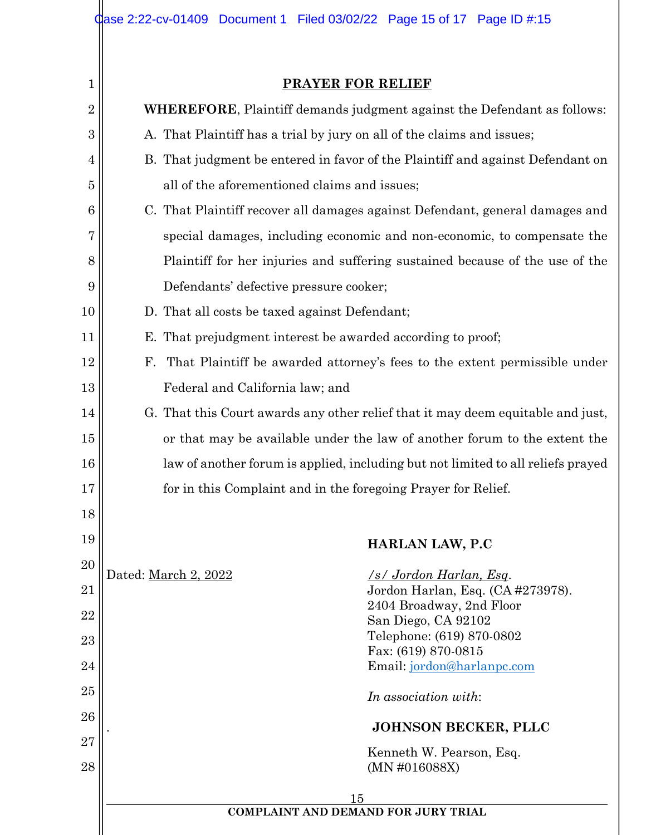1 2 3 4 5 6 7 8 9 10 11 12 13 14 15 16 17 18 19 20 21 22 23 24 25 26 27 28 15 **COMPLAINT AND DEMAND FOR JURY TRIAL PRAYER FOR RELIEF WHEREFORE**, Plaintiff demands judgment against the Defendant as follows: A. That Plaintiff has a trial by jury on all of the claims and issues; B. That judgment be entered in favor of the Plaintiff and against Defendant on all of the aforementioned claims and issues; C. That Plaintiff recover all damages against Defendant, general damages and special damages, including economic and non-economic, to compensate the Plaintiff for her injuries and suffering sustained because of the use of the Defendants' defective pressure cooker; D. That all costs be taxed against Defendant; E. That prejudgment interest be awarded according to proof; F. That Plaintiff be awarded attorney's fees to the extent permissible under Federal and California law; and G. That this Court awards any other relief that it may deem equitable and just, or that may be available under the law of another forum to the extent the law of another forum is applied, including but not limited to all reliefs prayed for in this Complaint and in the foregoing Prayer for Relief. **HARLAN LAW, P.C** Dated: March 2, 2022 */s/ Jordon Harlan, Esq*. Jordon Harlan, Esq. (CA #273978). 2404 Broadway, 2nd Floor San Diego, CA 92102 Telephone: (619) 870-0802 Fax: (619) 870-0815 Email: jordon@harlanpc.com *In association with*: . **JOHNSON BECKER, PLLC** Kenneth W. Pearson, Esq. (MN #016088X)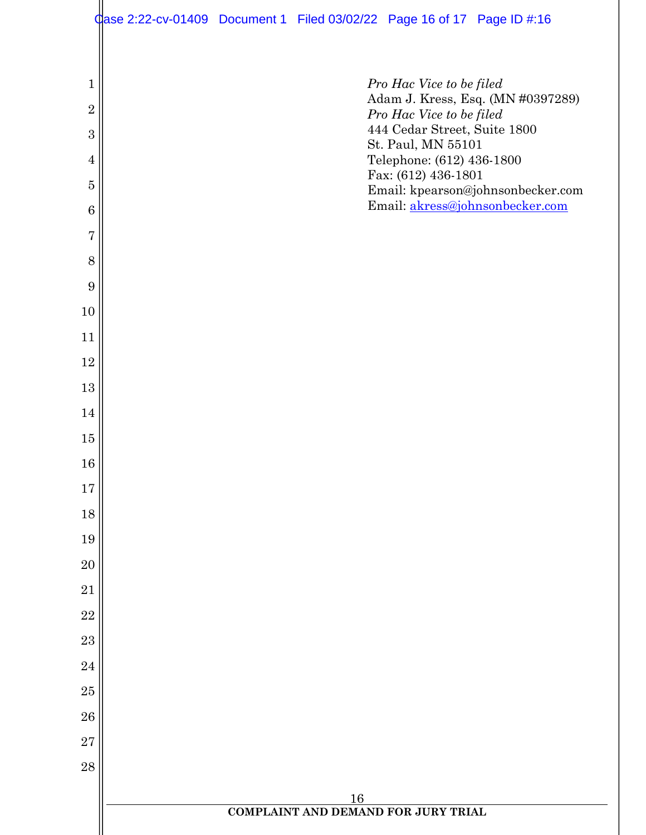|                     | $\frac{1}{2}$ ase 2:22-cv-01409 Document 1 Filed 03/02/22 Page 16 of 17 Page ID #:16 |  |                                                          |                                   |
|---------------------|--------------------------------------------------------------------------------------|--|----------------------------------------------------------|-----------------------------------|
|                     |                                                                                      |  |                                                          |                                   |
| $\mathbf{1}$        |                                                                                      |  | Pro Hac Vice to be filed                                 | Adam J. Kress, Esq. (MN #0397289) |
| $\overline{2}$<br>3 |                                                                                      |  | Pro Hac Vice to be filed<br>444 Cedar Street, Suite 1800 |                                   |
| $\overline{4}$      |                                                                                      |  | St. Paul, MN 55101<br>Telephone: (612) 436-1800          |                                   |
| $\overline{5}$      |                                                                                      |  | Fax: (612) 436-1801                                      | Email: kpearson@johnsonbecker.com |
| 6                   |                                                                                      |  |                                                          | Email: akress@johnsonbecker.com   |
| 7                   |                                                                                      |  |                                                          |                                   |
| 8                   |                                                                                      |  |                                                          |                                   |
| 9                   |                                                                                      |  |                                                          |                                   |
| 10                  |                                                                                      |  |                                                          |                                   |
| 11                  |                                                                                      |  |                                                          |                                   |
| 12<br>13            |                                                                                      |  |                                                          |                                   |
| 14                  |                                                                                      |  |                                                          |                                   |
| 15                  |                                                                                      |  |                                                          |                                   |
| $16\,$              |                                                                                      |  |                                                          |                                   |
| 17                  |                                                                                      |  |                                                          |                                   |
| 18                  |                                                                                      |  |                                                          |                                   |
| 19                  |                                                                                      |  |                                                          |                                   |
| 20                  |                                                                                      |  |                                                          |                                   |
| 21                  |                                                                                      |  |                                                          |                                   |
| 22                  |                                                                                      |  |                                                          |                                   |
| 23                  |                                                                                      |  |                                                          |                                   |
| 24                  |                                                                                      |  |                                                          |                                   |
| 25<br>26            |                                                                                      |  |                                                          |                                   |
| $\overline{27}$     |                                                                                      |  |                                                          |                                   |
| 28                  |                                                                                      |  |                                                          |                                   |
|                     |                                                                                      |  |                                                          |                                   |